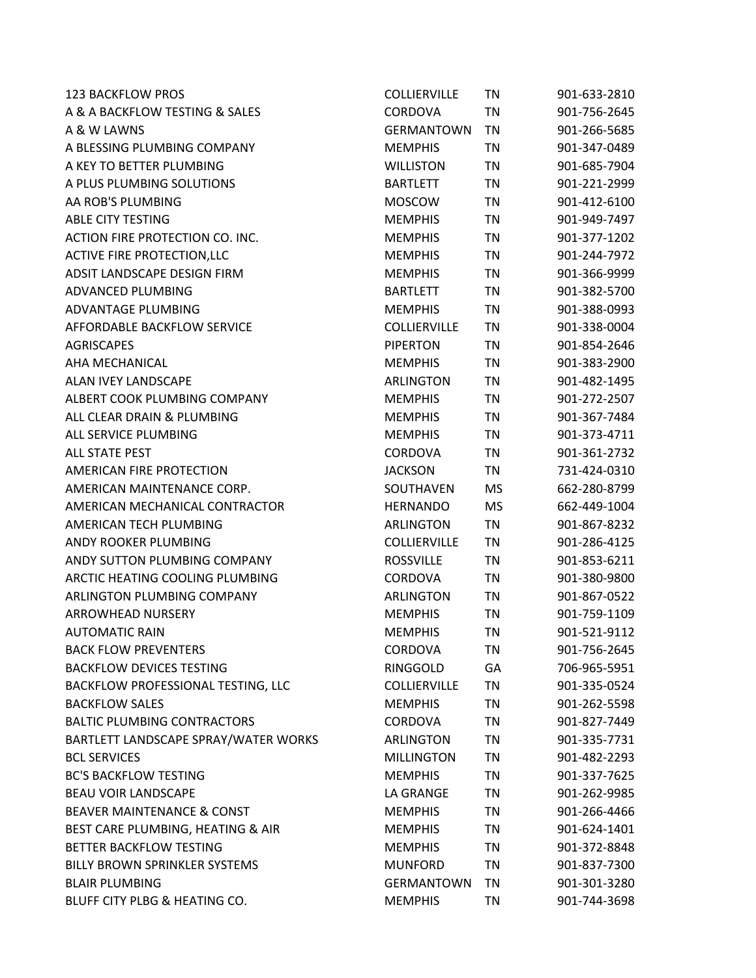| <b>123 BACKFLOW PROS</b>              | <b>COLLIERVILLE</b> | <b>TN</b> | 901-633-2810 |
|---------------------------------------|---------------------|-----------|--------------|
| A & A BACKFLOW TESTING & SALES        | <b>CORDOVA</b>      | TN        | 901-756-2645 |
| A & W LAWNS                           | <b>GERMANTOWN</b>   | TN        | 901-266-5685 |
| A BLESSING PLUMBING COMPANY           | <b>MEMPHIS</b>      | TN        | 901-347-0489 |
| A KEY TO BETTER PLUMBING              | <b>WILLISTON</b>    | TN        | 901-685-7904 |
| A PLUS PLUMBING SOLUTIONS             | <b>BARTLETT</b>     | TN        | 901-221-2999 |
| AA ROB'S PLUMBING                     | <b>MOSCOW</b>       | TN        | 901-412-6100 |
| <b>ABLE CITY TESTING</b>              | <b>MEMPHIS</b>      | TN        | 901-949-7497 |
| ACTION FIRE PROTECTION CO. INC.       | <b>MEMPHIS</b>      | TN        | 901-377-1202 |
| <b>ACTIVE FIRE PROTECTION, LLC</b>    | <b>MEMPHIS</b>      | <b>TN</b> | 901-244-7972 |
| ADSIT LANDSCAPE DESIGN FIRM           | <b>MEMPHIS</b>      | TN        | 901-366-9999 |
| ADVANCED PLUMBING                     | <b>BARTLETT</b>     | TN        | 901-382-5700 |
| ADVANTAGE PLUMBING                    | <b>MEMPHIS</b>      | TN        | 901-388-0993 |
| AFFORDABLE BACKFLOW SERVICE           | <b>COLLIERVILLE</b> | TN        | 901-338-0004 |
| <b>AGRISCAPES</b>                     | <b>PIPERTON</b>     | TN        | 901-854-2646 |
| AHA MECHANICAL                        | <b>MEMPHIS</b>      | TN        | 901-383-2900 |
| ALAN IVEY LANDSCAPE                   | <b>ARLINGTON</b>    | TN        | 901-482-1495 |
| ALBERT COOK PLUMBING COMPANY          | <b>MEMPHIS</b>      | <b>TN</b> | 901-272-2507 |
| ALL CLEAR DRAIN & PLUMBING            | <b>MEMPHIS</b>      | TN        | 901-367-7484 |
| ALL SERVICE PLUMBING                  | <b>MEMPHIS</b>      | TN        | 901-373-4711 |
| <b>ALL STATE PEST</b>                 | <b>CORDOVA</b>      | TN        | 901-361-2732 |
| <b>AMERICAN FIRE PROTECTION</b>       | <b>JACKSON</b>      | TN        | 731-424-0310 |
| AMERICAN MAINTENANCE CORP.            | SOUTHAVEN           | <b>MS</b> | 662-280-8799 |
| AMERICAN MECHANICAL CONTRACTOR        | <b>HERNANDO</b>     | <b>MS</b> | 662-449-1004 |
| AMERICAN TECH PLUMBING                | <b>ARLINGTON</b>    | TN        | 901-867-8232 |
| ANDY ROOKER PLUMBING                  | <b>COLLIERVILLE</b> | TN        | 901-286-4125 |
| ANDY SUTTON PLUMBING COMPANY          | <b>ROSSVILLE</b>    | <b>TN</b> | 901-853-6211 |
| ARCTIC HEATING COOLING PLUMBING       | <b>CORDOVA</b>      | TN        | 901-380-9800 |
| <b>ARLINGTON PLUMBING COMPANY</b>     | <b>ARLINGTON</b>    | TN        | 901-867-0522 |
| <b>ARROWHEAD NURSERY</b>              | <b>MEMPHIS</b>      | <b>TN</b> | 901-759-1109 |
| <b>AUTOMATIC RAIN</b>                 | <b>MEMPHIS</b>      | TN        | 901-521-9112 |
| <b>BACK FLOW PREVENTERS</b>           | <b>CORDOVA</b>      | TN        | 901-756-2645 |
| <b>BACKFLOW DEVICES TESTING</b>       | <b>RINGGOLD</b>     | GA        | 706-965-5951 |
| BACKFLOW PROFESSIONAL TESTING, LLC    | <b>COLLIERVILLE</b> | <b>TN</b> | 901-335-0524 |
| <b>BACKFLOW SALES</b>                 | <b>MEMPHIS</b>      | TN        | 901-262-5598 |
| <b>BALTIC PLUMBING CONTRACTORS</b>    | <b>CORDOVA</b>      | <b>TN</b> | 901-827-7449 |
| BARTLETT LANDSCAPE SPRAY/WATER WORKS  | ARLINGTON           | TN        | 901-335-7731 |
| <b>BCL SERVICES</b>                   | <b>MILLINGTON</b>   | <b>TN</b> | 901-482-2293 |
| <b>BC'S BACKFLOW TESTING</b>          | <b>MEMPHIS</b>      | <b>TN</b> | 901-337-7625 |
| <b>BEAU VOIR LANDSCAPE</b>            | LA GRANGE           | TN        | 901-262-9985 |
| <b>BEAVER MAINTENANCE &amp; CONST</b> | <b>MEMPHIS</b>      | TN        | 901-266-4466 |
| BEST CARE PLUMBING, HEATING & AIR     | <b>MEMPHIS</b>      | TN        | 901-624-1401 |
| BETTER BACKFLOW TESTING               | <b>MEMPHIS</b>      | TN        | 901-372-8848 |
| BILLY BROWN SPRINKLER SYSTEMS         | <b>MUNFORD</b>      | TN        | 901-837-7300 |
| <b>BLAIR PLUMBING</b>                 | <b>GERMANTOWN</b>   | TN        | 901-301-3280 |
| BLUFF CITY PLBG & HEATING CO.         | <b>MEMPHIS</b>      | TN        | 901-744-3698 |
|                                       |                     |           |              |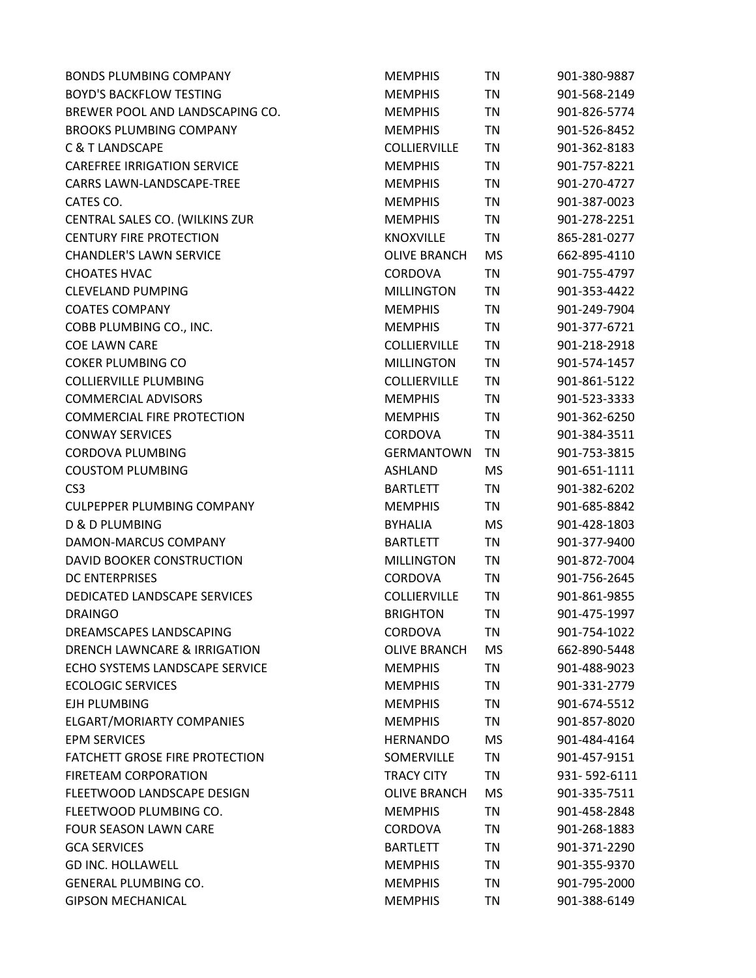| <b>BONDS PLUMBING COMPANY</b>         | <b>MEMPHIS</b>      | TN        | 901-380-9887 |
|---------------------------------------|---------------------|-----------|--------------|
| <b>BOYD'S BACKFLOW TESTING</b>        | <b>MEMPHIS</b>      | <b>TN</b> | 901-568-2149 |
| BREWER POOL AND LANDSCAPING CO.       | <b>MEMPHIS</b>      | ΤN        | 901-826-5774 |
| <b>BROOKS PLUMBING COMPANY</b>        | <b>MEMPHIS</b>      | ΤN        | 901-526-8452 |
| <b>C &amp; T LANDSCAPE</b>            | <b>COLLIERVILLE</b> | <b>TN</b> | 901-362-8183 |
| <b>CAREFREE IRRIGATION SERVICE</b>    | <b>MEMPHIS</b>      | ΤN        | 901-757-8221 |
| CARRS LAWN-LANDSCAPE-TREE             | <b>MEMPHIS</b>      | <b>TN</b> | 901-270-4727 |
| CATES CO.                             | <b>MEMPHIS</b>      | ΤN        | 901-387-0023 |
| CENTRAL SALES CO. (WILKINS ZUR        | <b>MEMPHIS</b>      | ΤN        | 901-278-2251 |
| <b>CENTURY FIRE PROTECTION</b>        | <b>KNOXVILLE</b>    | <b>TN</b> | 865-281-0277 |
| <b>CHANDLER'S LAWN SERVICE</b>        | <b>OLIVE BRANCH</b> | MS        | 662-895-4110 |
| <b>CHOATES HVAC</b>                   | <b>CORDOVA</b>      | TN        | 901-755-4797 |
| <b>CLEVELAND PUMPING</b>              | <b>MILLINGTON</b>   | ΤN        | 901-353-4422 |
| <b>COATES COMPANY</b>                 | <b>MEMPHIS</b>      | <b>TN</b> | 901-249-7904 |
| COBB PLUMBING CO., INC.               | <b>MEMPHIS</b>      | <b>TN</b> | 901-377-6721 |
| <b>COE LAWN CARE</b>                  | <b>COLLIERVILLE</b> | TN        | 901-218-2918 |
| <b>COKER PLUMBING CO</b>              | <b>MILLINGTON</b>   | ΤN        | 901-574-1457 |
| <b>COLLIERVILLE PLUMBING</b>          | <b>COLLIERVILLE</b> | ΤN        | 901-861-5122 |
| <b>COMMERCIAL ADVISORS</b>            | <b>MEMPHIS</b>      | ΤN        | 901-523-3333 |
| <b>COMMERCIAL FIRE PROTECTION</b>     | <b>MEMPHIS</b>      | TN        | 901-362-6250 |
| <b>CONWAY SERVICES</b>                | <b>CORDOVA</b>      | ΤN        | 901-384-3511 |
| <b>CORDOVA PLUMBING</b>               | <b>GERMANTOWN</b>   | ΤN        | 901-753-3815 |
| <b>COUSTOM PLUMBING</b>               | ASHLAND             | MS        | 901-651-1111 |
| CS <sub>3</sub>                       | <b>BARTLETT</b>     | <b>TN</b> | 901-382-6202 |
| <b>CULPEPPER PLUMBING COMPANY</b>     | <b>MEMPHIS</b>      | TN        | 901-685-8842 |
| D & D PLUMBING                        | <b>BYHALIA</b>      | MS        | 901-428-1803 |
| DAMON-MARCUS COMPANY                  | <b>BARTLETT</b>     | ΤN        | 901-377-9400 |
| DAVID BOOKER CONSTRUCTION             | <b>MILLINGTON</b>   | ΤN        | 901-872-7004 |
| <b>DC ENTERPRISES</b>                 | CORDOVA             | <b>TN</b> | 901-756-2645 |
| DEDICATED LANDSCAPE SERVICES          | <b>COLLIERVILLE</b> | ΤN        | 901-861-9855 |
| <b>DRAINGO</b>                        | <b>BRIGHTON</b>     | <b>TN</b> | 901-475-1997 |
| DREAMSCAPES LANDSCAPING               | CORDOVA             | ΤN        | 901-754-1022 |
| DRENCH LAWNCARE & IRRIGATION          | <b>OLIVE BRANCH</b> | MS        | 662-890-5448 |
| ECHO SYSTEMS LANDSCAPE SERVICE        | <b>MEMPHIS</b>      | ΤN        | 901-488-9023 |
| <b>ECOLOGIC SERVICES</b>              | <b>MEMPHIS</b>      | ΤN        | 901-331-2779 |
| EJH PLUMBING                          | <b>MEMPHIS</b>      | <b>TN</b> | 901-674-5512 |
| <b>ELGART/MORIARTY COMPANIES</b>      | <b>MEMPHIS</b>      | ΤN        | 901-857-8020 |
| <b>EPM SERVICES</b>                   | <b>HERNANDO</b>     | MS        | 901-484-4164 |
| <b>FATCHETT GROSE FIRE PROTECTION</b> | SOMERVILLE          | TN        | 901-457-9151 |
| FIRETEAM CORPORATION                  | <b>TRACY CITY</b>   | ΤN        | 931-592-6111 |
| FLEETWOOD LANDSCAPE DESIGN            | <b>OLIVE BRANCH</b> | MS        | 901-335-7511 |
| FLEETWOOD PLUMBING CO.                | <b>MEMPHIS</b>      | ΤN        | 901-458-2848 |
| <b>FOUR SEASON LAWN CARE</b>          | <b>CORDOVA</b>      | <b>TN</b> | 901-268-1883 |
| <b>GCA SERVICES</b>                   | <b>BARTLETT</b>     | ΤN        | 901-371-2290 |
| <b>GD INC. HOLLAWELL</b>              | <b>MEMPHIS</b>      | <b>TN</b> | 901-355-9370 |
| <b>GENERAL PLUMBING CO.</b>           | <b>MEMPHIS</b>      | <b>TN</b> | 901-795-2000 |
| <b>GIPSON MECHANICAL</b>              | <b>MEMPHIS</b>      | ΤN        | 901-388-6149 |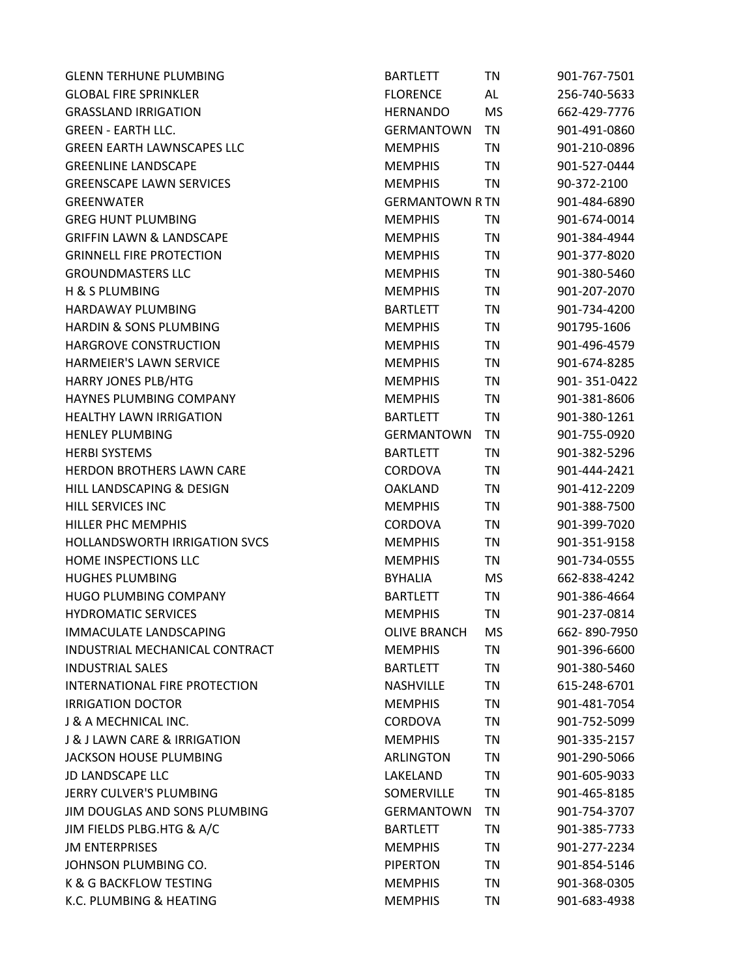| <b>GLENN TERHUNE PLUMBING</b>               | <b>BARTLETT</b>        | ΤN        | 901-767-7501 |
|---------------------------------------------|------------------------|-----------|--------------|
| <b>GLOBAL FIRE SPRINKLER</b>                | <b>FLORENCE</b>        | AL        | 256-740-5633 |
| <b>GRASSLAND IRRIGATION</b>                 | <b>HERNANDO</b>        | <b>MS</b> | 662-429-7776 |
| <b>GREEN - EARTH LLC.</b>                   | <b>GERMANTOWN</b>      | <b>TN</b> | 901-491-0860 |
| <b>GREEN EARTH LAWNSCAPES LLC</b>           | <b>MEMPHIS</b>         | TN        | 901-210-0896 |
| <b>GREENLINE LANDSCAPE</b>                  | <b>MEMPHIS</b>         | TN        | 901-527-0444 |
| <b>GREENSCAPE LAWN SERVICES</b>             | <b>MEMPHIS</b>         | TN        | 90-372-2100  |
| <b>GREENWATER</b>                           | <b>GERMANTOWN R TN</b> |           | 901-484-6890 |
| <b>GREG HUNT PLUMBING</b>                   | <b>MEMPHIS</b>         | ΤN        | 901-674-0014 |
| <b>GRIFFIN LAWN &amp; LANDSCAPE</b>         | <b>MEMPHIS</b>         | TN        | 901-384-4944 |
| <b>GRINNELL FIRE PROTECTION</b>             | <b>MEMPHIS</b>         | ΤN        | 901-377-8020 |
| <b>GROUNDMASTERS LLC</b>                    | <b>MEMPHIS</b>         | ΤN        | 901-380-5460 |
| <b>H &amp; S PLUMBING</b>                   | <b>MEMPHIS</b>         | <b>TN</b> | 901-207-2070 |
| <b>HARDAWAY PLUMBING</b>                    | <b>BARTLETT</b>        | <b>TN</b> | 901-734-4200 |
| <b>HARDIN &amp; SONS PLUMBING</b>           | <b>MEMPHIS</b>         | TN        | 901795-1606  |
| <b>HARGROVE CONSTRUCTION</b>                | <b>MEMPHIS</b>         | ΤN        | 901-496-4579 |
| HARMEIER'S LAWN SERVICE                     | <b>MEMPHIS</b>         | <b>TN</b> | 901-674-8285 |
| <b>HARRY JONES PLB/HTG</b>                  | <b>MEMPHIS</b>         | TN        | 901-351-0422 |
| HAYNES PLUMBING COMPANY                     | <b>MEMPHIS</b>         | <b>TN</b> | 901-381-8606 |
| <b>HEALTHY LAWN IRRIGATION</b>              | <b>BARTLETT</b>        | TN        | 901-380-1261 |
| <b>HENLEY PLUMBING</b>                      | GERMANTOWN             | TN        | 901-755-0920 |
| <b>HERBI SYSTEMS</b>                        | <b>BARTLETT</b>        | <b>TN</b> | 901-382-5296 |
| <b>HERDON BROTHERS LAWN CARE</b>            | <b>CORDOVA</b>         | ΤN        | 901-444-2421 |
| HILL LANDSCAPING & DESIGN                   | <b>OAKLAND</b>         | TN        | 901-412-2209 |
| <b>HILL SERVICES INC</b>                    | <b>MEMPHIS</b>         | TN        | 901-388-7500 |
| <b>HILLER PHC MEMPHIS</b>                   | <b>CORDOVA</b>         | ΤN        | 901-399-7020 |
| <b>HOLLANDSWORTH IRRIGATION SVCS</b>        | <b>MEMPHIS</b>         | <b>TN</b> | 901-351-9158 |
| HOME INSPECTIONS LLC                        | <b>MEMPHIS</b>         | TN        | 901-734-0555 |
| <b>HUGHES PLUMBING</b>                      | <b>BYHALIA</b>         | <b>MS</b> | 662-838-4242 |
| <b>HUGO PLUMBING COMPANY</b>                | <b>BARTLETT</b>        | ΤN        | 901-386-4664 |
| <b>HYDROMATIC SERVICES</b>                  | <b>MEMPHIS</b>         | <b>TN</b> | 901-237-0814 |
| <b>IMMACULATE LANDSCAPING</b>               | <b>OLIVE BRANCH</b>    | MS        | 662-890-7950 |
| INDUSTRIAL MECHANICAL CONTRACT              | <b>MEMPHIS</b>         | TN        | 901-396-6600 |
| <b>INDUSTRIAL SALES</b>                     | <b>BARTLETT</b>        | ΤN        | 901-380-5460 |
| <b>INTERNATIONAL FIRE PROTECTION</b>        | NASHVILLE              | TN        | 615-248-6701 |
| <b>IRRIGATION DOCTOR</b>                    | <b>MEMPHIS</b>         | <b>TN</b> | 901-481-7054 |
| J & A MECHNICAL INC.                        | <b>CORDOVA</b>         | ΤN        | 901-752-5099 |
| <b>J &amp; J LAWN CARE &amp; IRRIGATION</b> | <b>MEMPHIS</b>         | ΤN        | 901-335-2157 |
| <b>JACKSON HOUSE PLUMBING</b>               | <b>ARLINGTON</b>       | ΤN        | 901-290-5066 |
| JD LANDSCAPE LLC                            | LAKELAND               | TN        | 901-605-9033 |
| JERRY CULVER'S PLUMBING                     | SOMERVILLE             | TN        | 901-465-8185 |
| JIM DOUGLAS AND SONS PLUMBING               | <b>GERMANTOWN</b>      | TN        | 901-754-3707 |
| JIM FIELDS PLBG.HTG & A/C                   | <b>BARTLETT</b>        | TN        | 901-385-7733 |
| <b>JM ENTERPRISES</b>                       | <b>MEMPHIS</b>         | ΤN        | 901-277-2234 |
| JOHNSON PLUMBING CO.                        | <b>PIPERTON</b>        | ΤN        | 901-854-5146 |
| K & G BACKFLOW TESTING                      | <b>MEMPHIS</b>         | ΤN        | 901-368-0305 |
| K.C. PLUMBING & HEATING                     | <b>MEMPHIS</b>         | ΤN        | 901-683-4938 |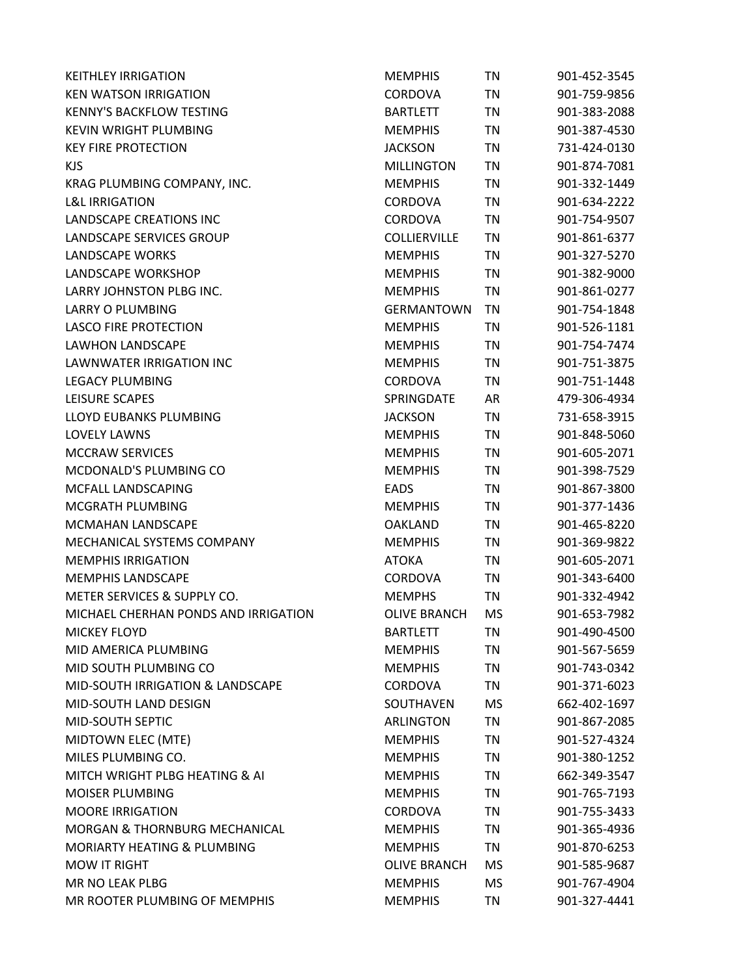| <b>KEITHLEY IRRIGATION</b>             | <b>MEMPHIS</b>      | TN        | 901-452-3545 |
|----------------------------------------|---------------------|-----------|--------------|
| <b>KEN WATSON IRRIGATION</b>           | <b>CORDOVA</b>      | <b>TN</b> | 901-759-9856 |
| <b>KENNY'S BACKFLOW TESTING</b>        | <b>BARTLETT</b>     | TN        | 901-383-2088 |
| KEVIN WRIGHT PLUMBING                  | <b>MEMPHIS</b>      | TN        | 901-387-4530 |
| <b>KEY FIRE PROTECTION</b>             | <b>JACKSON</b>      | TN        | 731-424-0130 |
| <b>KJS</b>                             | <b>MILLINGTON</b>   | <b>TN</b> | 901-874-7081 |
| KRAG PLUMBING COMPANY, INC.            | <b>MEMPHIS</b>      | <b>TN</b> | 901-332-1449 |
| <b>L&amp;L IRRIGATION</b>              | <b>CORDOVA</b>      | TN        | 901-634-2222 |
| <b>LANDSCAPE CREATIONS INC</b>         | <b>CORDOVA</b>      | TN        | 901-754-9507 |
| LANDSCAPE SERVICES GROUP               | COLLIERVILLE        | TN        | 901-861-6377 |
| <b>LANDSCAPE WORKS</b>                 | <b>MEMPHIS</b>      | TN        | 901-327-5270 |
| LANDSCAPE WORKSHOP                     | <b>MEMPHIS</b>      | <b>TN</b> | 901-382-9000 |
| LARRY JOHNSTON PLBG INC.               | <b>MEMPHIS</b>      | <b>TN</b> | 901-861-0277 |
| LARRY O PLUMBING                       | <b>GERMANTOWN</b>   | TN        | 901-754-1848 |
| <b>LASCO FIRE PROTECTION</b>           | <b>MEMPHIS</b>      | TN        | 901-526-1181 |
| LAWHON LANDSCAPE                       | <b>MEMPHIS</b>      | TN        | 901-754-7474 |
| LAWNWATER IRRIGATION INC               | <b>MEMPHIS</b>      | TN        | 901-751-3875 |
| <b>LEGACY PLUMBING</b>                 | <b>CORDOVA</b>      | TN        | 901-751-1448 |
| LEISURE SCAPES                         | SPRINGDATE          | AR        | 479-306-4934 |
| LLOYD EUBANKS PLUMBING                 | <b>JACKSON</b>      | TN        | 731-658-3915 |
| <b>LOVELY LAWNS</b>                    | <b>MEMPHIS</b>      | <b>TN</b> | 901-848-5060 |
| <b>MCCRAW SERVICES</b>                 | <b>MEMPHIS</b>      | TN        | 901-605-2071 |
| MCDONALD'S PLUMBING CO                 | <b>MEMPHIS</b>      | TN        | 901-398-7529 |
| MCFALL LANDSCAPING                     | <b>EADS</b>         | TN        | 901-867-3800 |
| MCGRATH PLUMBING                       | <b>MEMPHIS</b>      | <b>TN</b> | 901-377-1436 |
| MCMAHAN LANDSCAPE                      | <b>OAKLAND</b>      | <b>TN</b> | 901-465-8220 |
| MECHANICAL SYSTEMS COMPANY             | <b>MEMPHIS</b>      | TN        | 901-369-9822 |
| <b>MEMPHIS IRRIGATION</b>              | <b>ATOKA</b>        | TN        | 901-605-2071 |
| <b>MEMPHIS LANDSCAPE</b>               | <b>CORDOVA</b>      | TN        | 901-343-6400 |
| METER SERVICES & SUPPLY CO.            | <b>MEMPHS</b>       | TN        | 901-332-4942 |
| MICHAEL CHERHAN PONDS AND IRRIGATION   | <b>OLIVE BRANCH</b> | <b>MS</b> | 901-653-7982 |
| <b>MICKEY FLOYD</b>                    | <b>BARTLETT</b>     | TN        | 901-490-4500 |
| MID AMERICA PLUMBING                   | <b>MEMPHIS</b>      | <b>TN</b> | 901-567-5659 |
| MID SOUTH PLUMBING CO                  | <b>MEMPHIS</b>      | TN        | 901-743-0342 |
| MID-SOUTH IRRIGATION & LANDSCAPE       | <b>CORDOVA</b>      | TN        | 901-371-6023 |
| MID-SOUTH LAND DESIGN                  | SOUTHAVEN           | <b>MS</b> | 662-402-1697 |
| MID-SOUTH SEPTIC                       | <b>ARLINGTON</b>    | <b>TN</b> | 901-867-2085 |
| MIDTOWN ELEC (MTE)                     | <b>MEMPHIS</b>      | TN        | 901-527-4324 |
| MILES PLUMBING CO.                     | <b>MEMPHIS</b>      | TN        | 901-380-1252 |
| MITCH WRIGHT PLBG HEATING & AI         | <b>MEMPHIS</b>      | TN        | 662-349-3547 |
| <b>MOISER PLUMBING</b>                 | <b>MEMPHIS</b>      | TN        | 901-765-7193 |
| <b>MOORE IRRIGATION</b>                | CORDOVA             | TN        | 901-755-3433 |
| MORGAN & THORNBURG MECHANICAL          | <b>MEMPHIS</b>      | TN        | 901-365-4936 |
| <b>MORIARTY HEATING &amp; PLUMBING</b> | <b>MEMPHIS</b>      | TN        | 901-870-6253 |
| <b>MOW IT RIGHT</b>                    | <b>OLIVE BRANCH</b> | MS        | 901-585-9687 |
| MR NO LEAK PLBG                        | <b>MEMPHIS</b>      | <b>MS</b> | 901-767-4904 |
| MR ROOTER PLUMBING OF MEMPHIS          | <b>MEMPHIS</b>      | TN        | 901-327-4441 |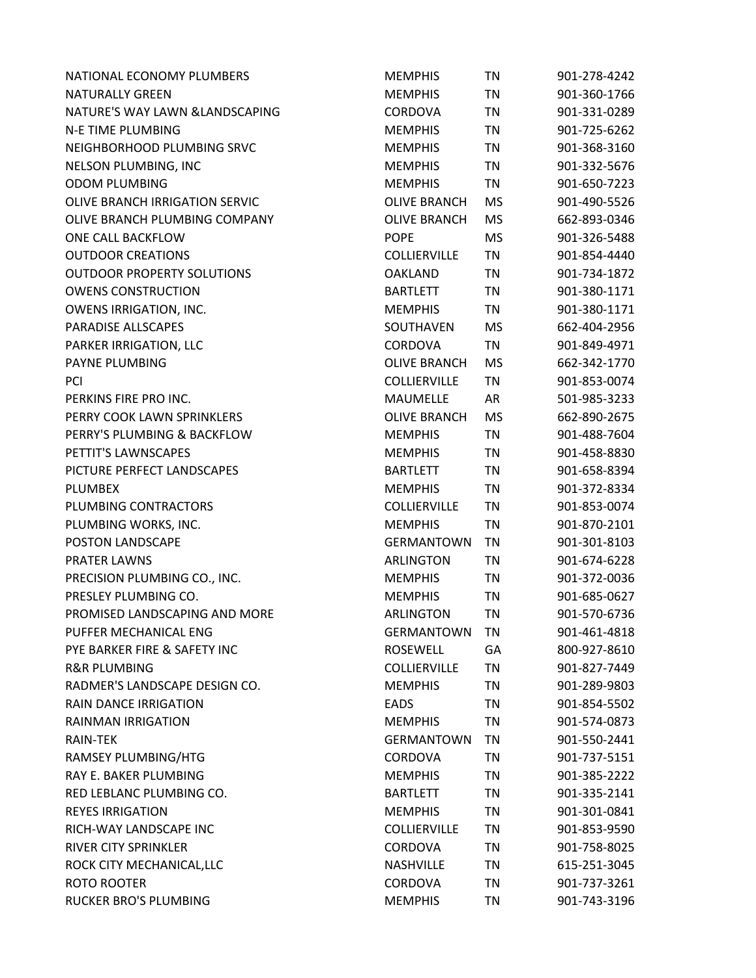| NATIONAL ECONOMY PLUMBERS         | <b>MEMPHIS</b>      | TN        | 901-278-4242 |
|-----------------------------------|---------------------|-----------|--------------|
| <b>NATURALLY GREEN</b>            | <b>MEMPHIS</b>      | TN        | 901-360-1766 |
| NATURE'S WAY LAWN & LANDSCAPING   | <b>CORDOVA</b>      | TN        | 901-331-0289 |
| <b>N-E TIME PLUMBING</b>          | <b>MEMPHIS</b>      | <b>TN</b> | 901-725-6262 |
| NEIGHBORHOOD PLUMBING SRVC        | <b>MEMPHIS</b>      | TN        | 901-368-3160 |
| NELSON PLUMBING, INC              | <b>MEMPHIS</b>      | TN        | 901-332-5676 |
| <b>ODOM PLUMBING</b>              | <b>MEMPHIS</b>      | TN        | 901-650-7223 |
| OLIVE BRANCH IRRIGATION SERVIC    | <b>OLIVE BRANCH</b> | MS        | 901-490-5526 |
| OLIVE BRANCH PLUMBING COMPANY     | <b>OLIVE BRANCH</b> | <b>MS</b> | 662-893-0346 |
| ONE CALL BACKFLOW                 | <b>POPE</b>         | <b>MS</b> | 901-326-5488 |
| <b>OUTDOOR CREATIONS</b>          | <b>COLLIERVILLE</b> | <b>TN</b> | 901-854-4440 |
| <b>OUTDOOR PROPERTY SOLUTIONS</b> | <b>OAKLAND</b>      | TN        | 901-734-1872 |
| <b>OWENS CONSTRUCTION</b>         | <b>BARTLETT</b>     | <b>TN</b> | 901-380-1171 |
| <b>OWENS IRRIGATION, INC.</b>     | <b>MEMPHIS</b>      | TN        | 901-380-1171 |
| PARADISE ALLSCAPES                | SOUTHAVEN           | <b>MS</b> | 662-404-2956 |
| PARKER IRRIGATION, LLC            | CORDOVA             | <b>TN</b> | 901-849-4971 |
| PAYNE PLUMBING                    | <b>OLIVE BRANCH</b> | <b>MS</b> | 662-342-1770 |
| PCI                               | <b>COLLIERVILLE</b> | <b>TN</b> | 901-853-0074 |
| PERKINS FIRE PRO INC.             | MAUMELLE            | AR        | 501-985-3233 |
| PERRY COOK LAWN SPRINKLERS        | <b>OLIVE BRANCH</b> | <b>MS</b> | 662-890-2675 |
| PERRY'S PLUMBING & BACKFLOW       | <b>MEMPHIS</b>      | TN        | 901-488-7604 |
| PETTIT'S LAWNSCAPES               | <b>MEMPHIS</b>      | <b>TN</b> | 901-458-8830 |
| PICTURE PERFECT LANDSCAPES        | <b>BARTLETT</b>     | <b>TN</b> | 901-658-8394 |
| <b>PLUMBEX</b>                    | <b>MEMPHIS</b>      | TN        | 901-372-8334 |
| PLUMBING CONTRACTORS              | <b>COLLIERVILLE</b> | <b>TN</b> | 901-853-0074 |
| PLUMBING WORKS, INC.              | <b>MEMPHIS</b>      | TN        | 901-870-2101 |
| POSTON LANDSCAPE                  | <b>GERMANTOWN</b>   | <b>TN</b> | 901-301-8103 |
| PRATER LAWNS                      | <b>ARLINGTON</b>    | TN        | 901-674-6228 |
| PRECISION PLUMBING CO., INC.      | <b>MEMPHIS</b>      | <b>TN</b> | 901-372-0036 |
| PRESLEY PLUMBING CO.              | <b>MEMPHIS</b>      | TN        | 901-685-0627 |
| PROMISED LANDSCAPING AND MORE     | <b>ARLINGTON</b>    | TN        | 901-570-6736 |
| PUFFER MECHANICAL ENG             | <b>GERMANTOWN</b>   | TN        | 901-461-4818 |
| PYE BARKER FIRE & SAFETY INC      | <b>ROSEWELL</b>     | GA        | 800-927-8610 |
| <b>R&amp;R PLUMBING</b>           | <b>COLLIERVILLE</b> | <b>TN</b> | 901-827-7449 |
| RADMER'S LANDSCAPE DESIGN CO.     | <b>MEMPHIS</b>      | TN        | 901-289-9803 |
| <b>RAIN DANCE IRRIGATION</b>      | <b>EADS</b>         | TN        | 901-854-5502 |
| <b>RAINMAN IRRIGATION</b>         | <b>MEMPHIS</b>      | TN        | 901-574-0873 |
| RAIN-TEK                          | <b>GERMANTOWN</b>   | TN        | 901-550-2441 |
| RAMSEY PLUMBING/HTG               | <b>CORDOVA</b>      | <b>TN</b> | 901-737-5151 |
| RAY E. BAKER PLUMBING             | <b>MEMPHIS</b>      | <b>TN</b> | 901-385-2222 |
| RED LEBLANC PLUMBING CO.          | <b>BARTLETT</b>     | <b>TN</b> | 901-335-2141 |
| <b>REYES IRRIGATION</b>           | <b>MEMPHIS</b>      | TN        | 901-301-0841 |
| RICH-WAY LANDSCAPE INC            | <b>COLLIERVILLE</b> | <b>TN</b> | 901-853-9590 |
| <b>RIVER CITY SPRINKLER</b>       | <b>CORDOVA</b>      | TN        | 901-758-8025 |
| ROCK CITY MECHANICAL, LLC         | <b>NASHVILLE</b>    | TN        | 615-251-3045 |
| ROTO ROOTER                       | CORDOVA             | <b>TN</b> | 901-737-3261 |
| RUCKER BRO'S PLUMBING             | <b>MEMPHIS</b>      | TN        | 901-743-3196 |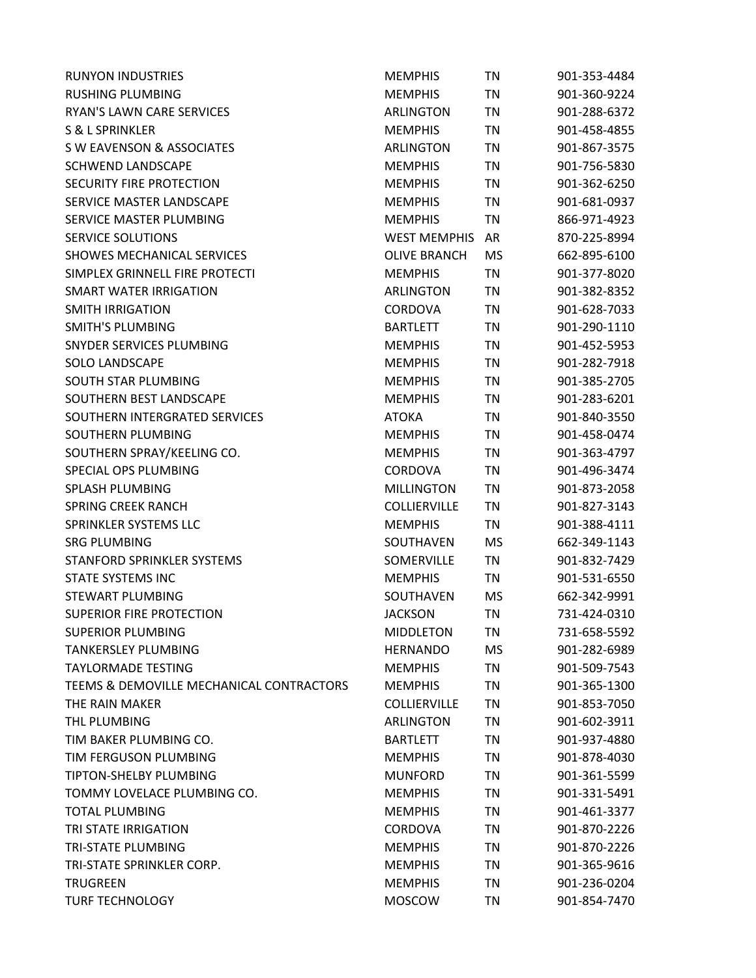| <b>RUNYON INDUSTRIES</b>                 | <b>MEMPHIS</b>      | TN        | 901-353-4484 |
|------------------------------------------|---------------------|-----------|--------------|
| <b>RUSHING PLUMBING</b>                  | <b>MEMPHIS</b>      | <b>TN</b> | 901-360-9224 |
| RYAN'S LAWN CARE SERVICES                | <b>ARLINGTON</b>    | TN        | 901-288-6372 |
| <b>S &amp; L SPRINKLER</b>               | <b>MEMPHIS</b>      | TN        | 901-458-4855 |
| S W EAVENSON & ASSOCIATES                | <b>ARLINGTON</b>    | TN        | 901-867-3575 |
| <b>SCHWEND LANDSCAPE</b>                 | <b>MEMPHIS</b>      | TN        | 901-756-5830 |
| SECURITY FIRE PROTECTION                 | <b>MEMPHIS</b>      | TN        | 901-362-6250 |
| SERVICE MASTER LANDSCAPE                 | <b>MEMPHIS</b>      | TN        | 901-681-0937 |
| SERVICE MASTER PLUMBING                  | <b>MEMPHIS</b>      | TN        | 866-971-4923 |
| <b>SERVICE SOLUTIONS</b>                 | <b>WEST MEMPHIS</b> | AR        | 870-225-8994 |
| <b>SHOWES MECHANICAL SERVICES</b>        | <b>OLIVE BRANCH</b> | MS        | 662-895-6100 |
| SIMPLEX GRINNELL FIRE PROTECTI           | <b>MEMPHIS</b>      | <b>TN</b> | 901-377-8020 |
| <b>SMART WATER IRRIGATION</b>            | ARLINGTON           | TN        | 901-382-8352 |
| <b>SMITH IRRIGATION</b>                  | CORDOVA             | TN        | 901-628-7033 |
| SMITH'S PLUMBING                         | <b>BARTLETT</b>     | <b>TN</b> | 901-290-1110 |
| SNYDER SERVICES PLUMBING                 | <b>MEMPHIS</b>      | TN        | 901-452-5953 |
| <b>SOLO LANDSCAPE</b>                    | <b>MEMPHIS</b>      | <b>TN</b> | 901-282-7918 |
| <b>SOUTH STAR PLUMBING</b>               | <b>MEMPHIS</b>      | TN        | 901-385-2705 |
| SOUTHERN BEST LANDSCAPE                  | <b>MEMPHIS</b>      | <b>TN</b> | 901-283-6201 |
| SOUTHERN INTERGRATED SERVICES            | <b>ATOKA</b>        | TN        | 901-840-3550 |
| SOUTHERN PLUMBING                        | <b>MEMPHIS</b>      | TN        | 901-458-0474 |
| SOUTHERN SPRAY/KEELING CO.               | <b>MEMPHIS</b>      | TN        | 901-363-4797 |
| SPECIAL OPS PLUMBING                     | CORDOVA             | TN        | 901-496-3474 |
| <b>SPLASH PLUMBING</b>                   | <b>MILLINGTON</b>   | <b>TN</b> | 901-873-2058 |
| <b>SPRING CREEK RANCH</b>                | <b>COLLIERVILLE</b> | <b>TN</b> | 901-827-3143 |
| SPRINKLER SYSTEMS LLC                    | <b>MEMPHIS</b>      | ΤN        | 901-388-4111 |
| <b>SRG PLUMBING</b>                      | SOUTHAVEN           | MS        | 662-349-1143 |
| STANFORD SPRINKLER SYSTEMS               | SOMERVILLE          | TN        | 901-832-7429 |
| <b>STATE SYSTEMS INC</b>                 | <b>MEMPHIS</b>      | TN        | 901-531-6550 |
| STEWART PLUMBING                         | SOUTHAVEN           | MS        | 662-342-9991 |
| <b>SUPERIOR FIRE PROTECTION</b>          | <b>JACKSON</b>      | TN        | 731-424-0310 |
| <b>SUPERIOR PLUMBING</b>                 | <b>MIDDLETON</b>    | TN        | 731-658-5592 |
| <b>TANKERSLEY PLUMBING</b>               | <b>HERNANDO</b>     | MS        | 901-282-6989 |
| <b>TAYLORMADE TESTING</b>                | <b>MEMPHIS</b>      | TN        | 901-509-7543 |
| TEEMS & DEMOVILLE MECHANICAL CONTRACTORS | <b>MEMPHIS</b>      | TN        | 901-365-1300 |
| THE RAIN MAKER                           | COLLIERVILLE        | <b>TN</b> | 901-853-7050 |
| THL PLUMBING                             | ARLINGTON           | TN        | 901-602-3911 |
| TIM BAKER PLUMBING CO.                   | <b>BARTLETT</b>     | TN        | 901-937-4880 |
| TIM FERGUSON PLUMBING                    | <b>MEMPHIS</b>      | TN        | 901-878-4030 |
| <b>TIPTON-SHELBY PLUMBING</b>            | <b>MUNFORD</b>      | TN        | 901-361-5599 |
| TOMMY LOVELACE PLUMBING CO.              | <b>MEMPHIS</b>      | TN        | 901-331-5491 |
| <b>TOTAL PLUMBING</b>                    | <b>MEMPHIS</b>      | TN        | 901-461-3377 |
| <b>TRI STATE IRRIGATION</b>              | <b>CORDOVA</b>      | TN        | 901-870-2226 |
| TRI-STATE PLUMBING                       | <b>MEMPHIS</b>      | TN        | 901-870-2226 |
| TRI-STATE SPRINKLER CORP.                | <b>MEMPHIS</b>      | TN        | 901-365-9616 |
| <b>TRUGREEN</b>                          | <b>MEMPHIS</b>      | TN        | 901-236-0204 |
| <b>TURF TECHNOLOGY</b>                   | <b>MOSCOW</b>       | <b>TN</b> | 901-854-7470 |